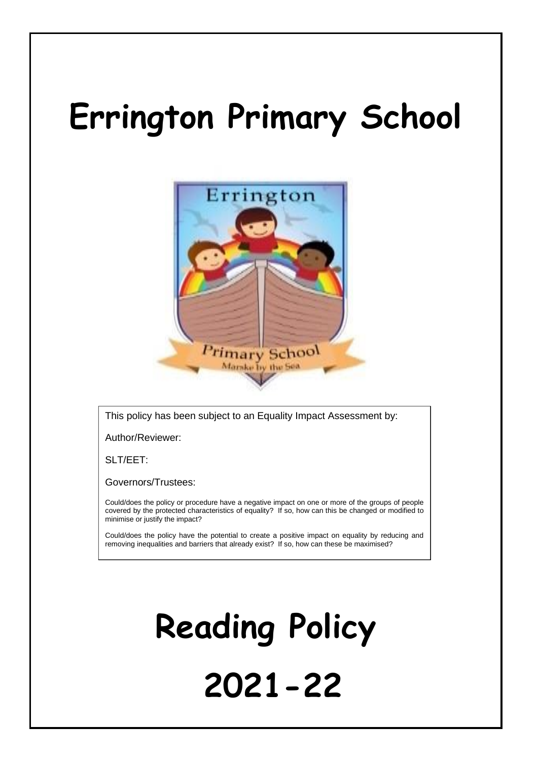# **Errington Primary School**



This policy has been subject to an Equality Impact Assessment by:

Author/Reviewer:

SLT/EET:

Governors/Trustees:

Could/does the policy or procedure have a negative impact on one or more of the groups of people covered by the protected characteristics of equality? If so, how can this be changed or modified to minimise or justify the impact?

Could/does the policy have the potential to create a positive impact on equality by reducing and removing inequalities and barriers that already exist? If so, how can these be maximised?

# **Reading Policy 2021-22**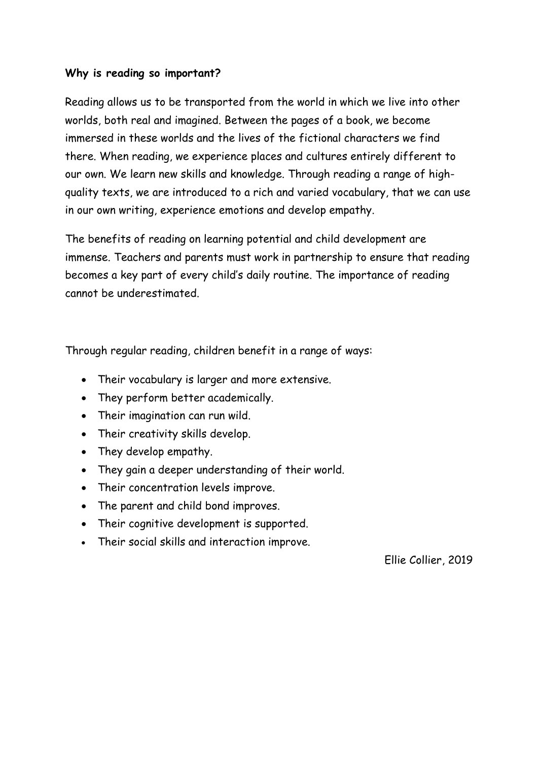#### **Why is reading so important?**

Reading allows us to be transported from the world in which we live into other worlds, both real and imagined. Between the pages of a book, we become immersed in these worlds and the lives of the fictional characters we find there. When reading, we experience places and cultures entirely different to our own. We learn new skills and knowledge. Through reading a range of highquality texts, we are introduced to a rich and varied vocabulary, that we can use in our own writing, experience emotions and develop empathy.

The benefits of reading on learning potential and child development are immense. Teachers and parents must work in partnership to ensure that reading becomes a key part of every child's daily routine. The importance of reading cannot be underestimated.

Through regular reading, children benefit in a range of ways:

- Their vocabulary is larger and more extensive.
- They perform better academically.
- Their imagination can run wild.
- Their creativity skills develop.
- They develop empathy.
- They gain a deeper understanding of their world.
- Their concentration levels improve.
- The parent and child bond improves.
- Their cognitive development is supported.
- Their social skills and interaction improve.

Ellie Collier, 2019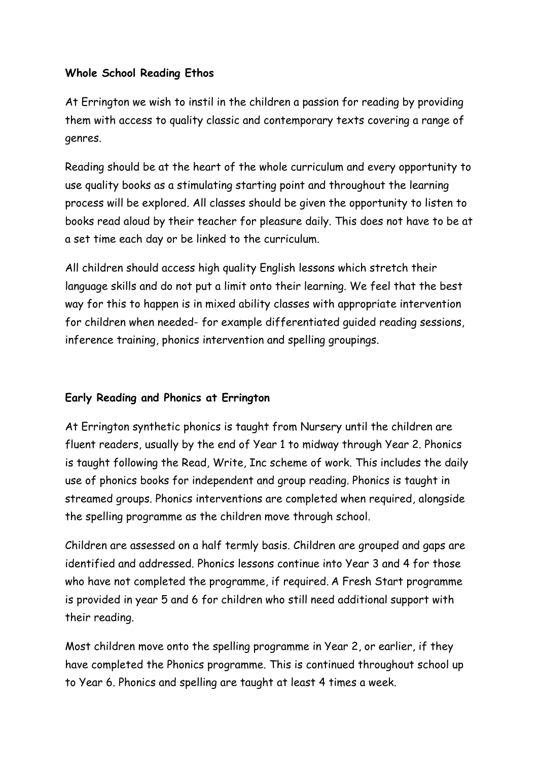# **Whole School Reading Ethos**

At Errington we wish to instil in the children a passion for reading by providing them with access to quality classic and contemporary texts covering a range of genres.

Reading should be at the heart of the whole curriculum and every opportunity to use quality books as a stimulating starting point and throughout the learning process will be explored. All classes should be given the opportunity to listen to books read aloud by their teacher for pleasure daily. This does not have to be at a set time each day or be linked to the curriculum.

All children should access high quality English lessons which stretch their language skills and do not put a limit onto their learning. We feel that the best way for this to happen is in mixed ability classes with appropriate intervention for children when needed- for example differentiated guided reading sessions, inference training, phonics intervention and spelling groupings.

# **Early Reading and Phonics at Errington**

At Errington synthetic phonics is taught from Nursery until the children are fluent readers, usually by the end of Year 1 to midway through Year 2. Phonics is taught following the Read, Write, Inc scheme of work. This includes the daily use of phonics books for independent and group reading. Phonics is taught in streamed groups. Phonics interventions are completed when required, alongside the spelling programme as the children move through school.

Children are assessed on a half termly basis. Children are grouped and gaps are identified and addressed. Phonics lessons continue into Year 3 and 4 for those who have not completed the programme, if required. A Fresh Start programme is provided in year 5 and 6 for children who still need additional support with their reading.

Most children move onto the spelling programme in Year 2, or earlier, if they have completed the Phonics programme. This is continued throughout school up to Year 6. Phonics and spelling are taught at least 4 times a week.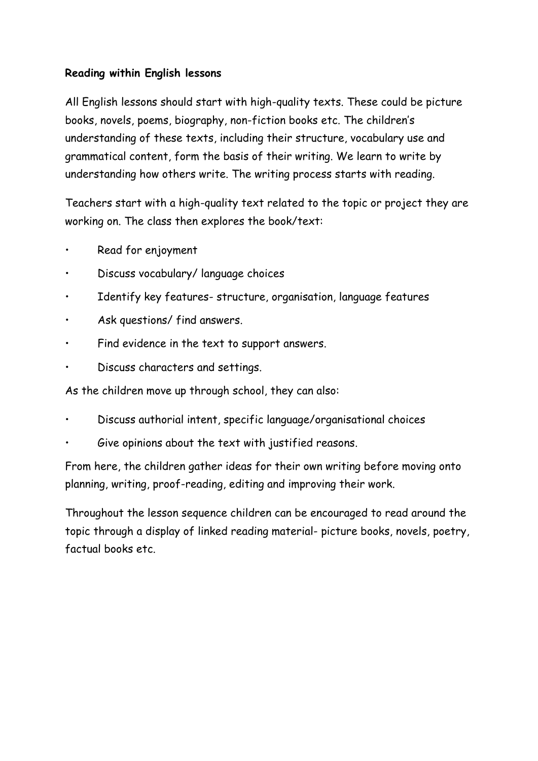# **Reading within English lessons**

All English lessons should start with high-quality texts. These could be picture books, novels, poems, biography, non-fiction books etc. The children's understanding of these texts, including their structure, vocabulary use and grammatical content, form the basis of their writing. We learn to write by understanding how others write. The writing process starts with reading.

Teachers start with a high-quality text related to the topic or project they are working on. The class then explores the book/text:

- Read for enjoyment
- Discuss vocabulary/ language choices
- Identify key features- structure, organisation, language features
- Ask questions/ find answers.
- Find evidence in the text to support answers.
- Discuss characters and settings.

As the children move up through school, they can also:

- Discuss authorial intent, specific language/organisational choices
- Give opinions about the text with justified reasons.

From here, the children gather ideas for their own writing before moving onto planning, writing, proof-reading, editing and improving their work.

Throughout the lesson sequence children can be encouraged to read around the topic through a display of linked reading material- picture books, novels, poetry, factual books etc.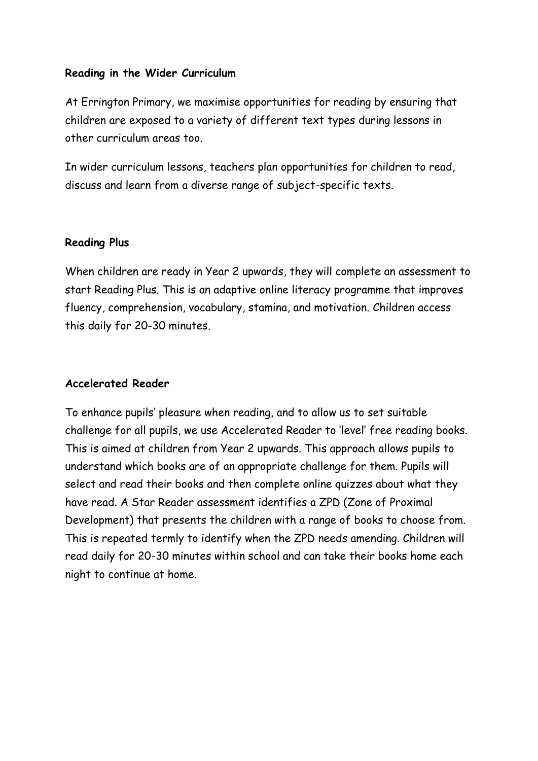#### **Reading in the Wider Curriculum**

At Errington Primary, we maximise opportunities for reading by ensuring that children are exposed to a variety of different text types during lessons in other curriculum areas too.

In wider curriculum lessons, teachers plan opportunities for children to read, discuss and learn from a diverse range of subject-specific texts.

#### **Reading Plus**

When children are ready in Year 2 upwards, they will complete an assessment to start Reading Plus. This is an adaptive online literacy programme that improves fluency, comprehension, vocabulary, stamina, and motivation. Children access this daily for 20-30 minutes.

#### **Accelerated Reader**

To enhance pupils' pleasure when reading, and to allow us to set suitable challenge for all pupils, we use Accelerated Reader to 'level' free reading books. This is aimed at children from Year 2 upwards. This approach allows pupils to understand which books are of an appropriate challenge for them. Pupils will select and read their books and then complete online quizzes about what they have read. A Star Reader assessment identifies a ZPD (Zone of Proximal Development) that presents the children with a range of books to choose from. This is repeated termly to identify when the ZPD needs amending. Children will read daily for 20-30 minutes within school and can take their books home each night to continue at home.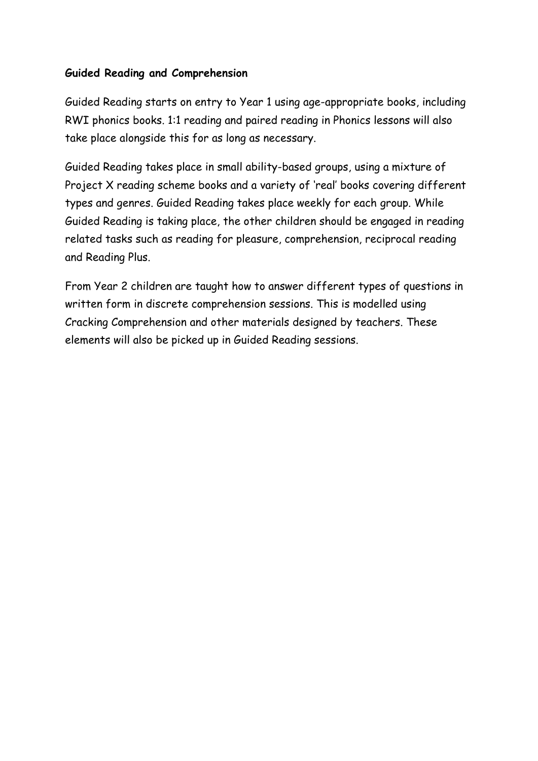### **Guided Reading and Comprehension**

Guided Reading starts on entry to Year 1 using age-appropriate books, including RWI phonics books. 1:1 reading and paired reading in Phonics lessons will also take place alongside this for as long as necessary.

Guided Reading takes place in small ability-based groups, using a mixture of Project X reading scheme books and a variety of 'real' books covering different types and genres. Guided Reading takes place weekly for each group. While Guided Reading is taking place, the other children should be engaged in reading related tasks such as reading for pleasure, comprehension, reciprocal reading and Reading Plus.

From Year 2 children are taught how to answer different types of questions in written form in discrete comprehension sessions. This is modelled using Cracking Comprehension and other materials designed by teachers. These elements will also be picked up in Guided Reading sessions.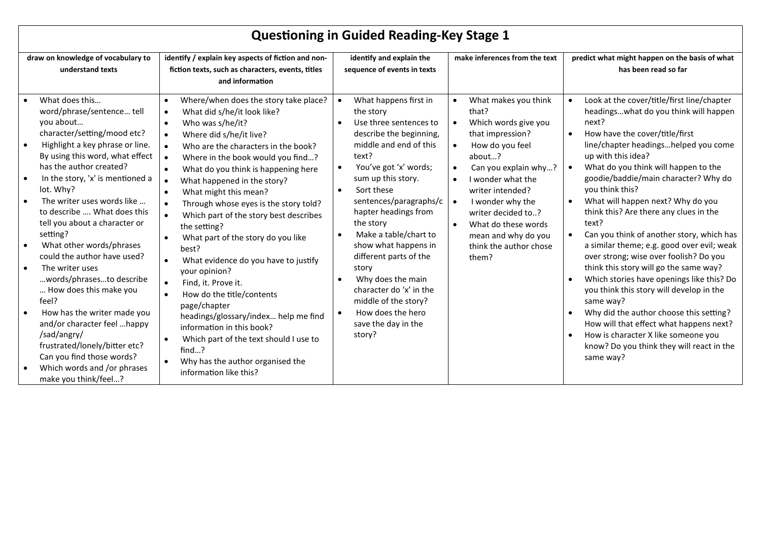| <b>Questioning in Guided Reading-Key Stage 1</b>                                                                                                                                                                                                                                                                                                                                                                                                                                                                                                                                                                                                                                                                             |                                                                                                                                                                                                                                                                                                                                                                                                                                                                                                                                                                                                                                                                                                                                                                                                                                      |                                                                                                                                                                                                                                                                                                                                                                                                                                                                                                    |                                                                                                                                                                                                                                                                                                                              |                                                                                                                                                                                                                                                                                                                                                                                                                                                                                                                                                                                                                                                                                                                                                                                                                                                                                  |  |  |
|------------------------------------------------------------------------------------------------------------------------------------------------------------------------------------------------------------------------------------------------------------------------------------------------------------------------------------------------------------------------------------------------------------------------------------------------------------------------------------------------------------------------------------------------------------------------------------------------------------------------------------------------------------------------------------------------------------------------------|--------------------------------------------------------------------------------------------------------------------------------------------------------------------------------------------------------------------------------------------------------------------------------------------------------------------------------------------------------------------------------------------------------------------------------------------------------------------------------------------------------------------------------------------------------------------------------------------------------------------------------------------------------------------------------------------------------------------------------------------------------------------------------------------------------------------------------------|----------------------------------------------------------------------------------------------------------------------------------------------------------------------------------------------------------------------------------------------------------------------------------------------------------------------------------------------------------------------------------------------------------------------------------------------------------------------------------------------------|------------------------------------------------------------------------------------------------------------------------------------------------------------------------------------------------------------------------------------------------------------------------------------------------------------------------------|----------------------------------------------------------------------------------------------------------------------------------------------------------------------------------------------------------------------------------------------------------------------------------------------------------------------------------------------------------------------------------------------------------------------------------------------------------------------------------------------------------------------------------------------------------------------------------------------------------------------------------------------------------------------------------------------------------------------------------------------------------------------------------------------------------------------------------------------------------------------------------|--|--|
| draw on knowledge of vocabulary to<br>understand texts                                                                                                                                                                                                                                                                                                                                                                                                                                                                                                                                                                                                                                                                       | identify / explain key aspects of fiction and non-<br>fiction texts, such as characters, events, titles<br>and information                                                                                                                                                                                                                                                                                                                                                                                                                                                                                                                                                                                                                                                                                                           | identify and explain the<br>sequence of events in texts                                                                                                                                                                                                                                                                                                                                                                                                                                            | make inferences from the text                                                                                                                                                                                                                                                                                                | predict what might happen on the basis of what<br>has been read so far                                                                                                                                                                                                                                                                                                                                                                                                                                                                                                                                                                                                                                                                                                                                                                                                           |  |  |
| What does this<br>word/phrase/sentence tell<br>you about<br>character/setting/mood etc?<br>Highlight a key phrase or line.<br>$\bullet$<br>By using this word, what effect<br>has the author created?<br>In the story, 'x' is mentioned a<br>lot. Why?<br>The writer uses words like<br>to describe  What does this<br>tell you about a character or<br>setting?<br>What other words/phrases<br>$\bullet$<br>could the author have used?<br>The writer uses<br>words/phrasesto describe<br>How does this make you<br>feel?<br>How has the writer made you<br>and/or character feel happy<br>/sad/angry/<br>frustrated/lonely/bitter etc?<br>Can you find those words?<br>Which words and /or phrases<br>make you think/feel? | Where/when does the story take place?<br>$\bullet$<br>What did s/he/it look like?<br>Who was s/he/it?<br>$\bullet$<br>Where did s/he/it live?<br>$\bullet$<br>Who are the characters in the book?<br>Where in the book would you find?<br>What do you think is happening here<br>What happened in the story?<br>What might this mean?<br>$\bullet$<br>Through whose eyes is the story told?<br>Which part of the story best describes<br>the setting?<br>What part of the story do you like<br>best?<br>What evidence do you have to justify<br>your opinion?<br>Find, it. Prove it.<br>How do the title/contents<br>page/chapter<br>headings/glossary/index help me find<br>information in this book?<br>Which part of the text should I use to<br>$\bullet$<br>find?<br>Why has the author organised the<br>information like this? | What happens first in<br>the story<br>Use three sentences to<br>$\bullet$<br>describe the beginning,<br>middle and end of this<br>text?<br>You've got 'x' words;<br>sum up this story.<br>Sort these<br>$\bullet$<br>sentences/paragraphs/c<br>hapter headings from<br>the story<br>Make a table/chart to<br>show what happens in<br>different parts of the<br>story<br>Why does the main<br>character do 'x' in the<br>middle of the story?<br>How does the hero<br>save the day in the<br>story? | What makes you think<br>that?<br>Which words give you<br>$\bullet$<br>that impression?<br>How do you feel<br>about?<br>Can you explain why?<br>I wonder what the<br>$\bullet$<br>writer intended?<br>I wonder why the<br>writer decided to?<br>What do these words<br>mean and why do you<br>think the author chose<br>them? | Look at the cover/title/first line/chapter<br>headingswhat do you think will happen<br>next?<br>How have the cover/title/first<br>line/chapter headingshelped you come<br>up with this idea?<br>What do you think will happen to the<br>goodie/baddie/main character? Why do<br>you think this?<br>What will happen next? Why do you<br>think this? Are there any clues in the<br>text?<br>Can you think of another story, which has<br>a similar theme; e.g. good over evil; weak<br>over strong; wise over foolish? Do you<br>think this story will go the same way?<br>Which stories have openings like this? Do<br>you think this story will develop in the<br>same way?<br>Why did the author choose this setting?<br>$\bullet$<br>How will that effect what happens next?<br>How is character X like someone you<br>know? Do you think they will react in the<br>same way? |  |  |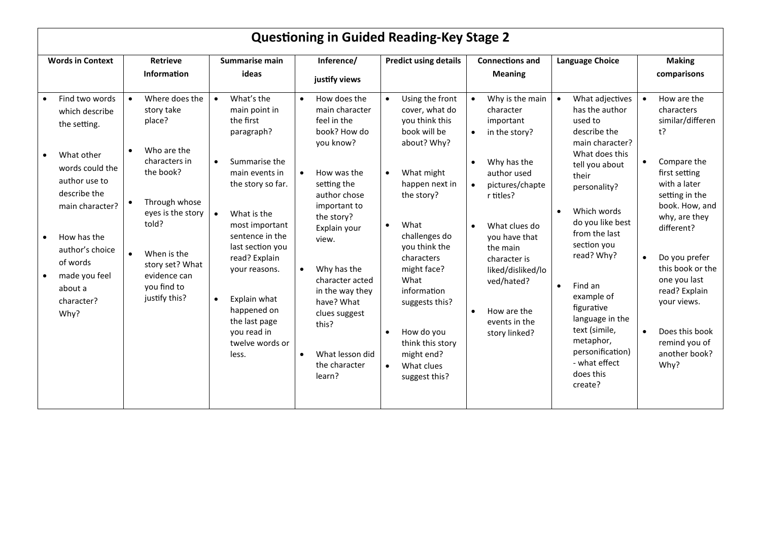| <b>Questioning in Guided Reading-Key Stage 2</b>                                                                                                                                                                                                                             |                                                                                                                                                                                                                      |                                                                                                                                                                                                                                                                                                                                                                         |                                                                                                                                                                                                                                                                                                                                                                   |                                                                                                                                                                                                                                                                                                                                                           |                                                                                                                                                                                                                                                                                                                                             |                                                                                                                                                                                                                                                                                                                                                                                                              |                                                                                                                                                                                                                                                                                                                                                                             |  |
|------------------------------------------------------------------------------------------------------------------------------------------------------------------------------------------------------------------------------------------------------------------------------|----------------------------------------------------------------------------------------------------------------------------------------------------------------------------------------------------------------------|-------------------------------------------------------------------------------------------------------------------------------------------------------------------------------------------------------------------------------------------------------------------------------------------------------------------------------------------------------------------------|-------------------------------------------------------------------------------------------------------------------------------------------------------------------------------------------------------------------------------------------------------------------------------------------------------------------------------------------------------------------|-----------------------------------------------------------------------------------------------------------------------------------------------------------------------------------------------------------------------------------------------------------------------------------------------------------------------------------------------------------|---------------------------------------------------------------------------------------------------------------------------------------------------------------------------------------------------------------------------------------------------------------------------------------------------------------------------------------------|--------------------------------------------------------------------------------------------------------------------------------------------------------------------------------------------------------------------------------------------------------------------------------------------------------------------------------------------------------------------------------------------------------------|-----------------------------------------------------------------------------------------------------------------------------------------------------------------------------------------------------------------------------------------------------------------------------------------------------------------------------------------------------------------------------|--|
| <b>Words in Context</b>                                                                                                                                                                                                                                                      | <b>Retrieve</b><br>Summarise main<br><b>Information</b><br>ideas                                                                                                                                                     |                                                                                                                                                                                                                                                                                                                                                                         | Inference/<br><b>Predict using details</b><br>justify views                                                                                                                                                                                                                                                                                                       |                                                                                                                                                                                                                                                                                                                                                           | <b>Connections and</b><br><b>Meaning</b>                                                                                                                                                                                                                                                                                                    | Language Choice                                                                                                                                                                                                                                                                                                                                                                                              | <b>Making</b><br>comparisons                                                                                                                                                                                                                                                                                                                                                |  |
| Find two words<br>$\bullet$<br>which describe<br>the setting.<br>What other<br>words could the<br>author use to<br>describe the<br>$\bullet$<br>main character?<br>How has the<br>author's choice<br>$\bullet$<br>of words<br>made you feel<br>about a<br>character?<br>Why? | Where does the<br>story take<br>place?<br>Who are the<br>characters in<br>the book?<br>Through whose<br>eyes is the story<br>told?<br>When is the<br>story set? What<br>evidence can<br>you find to<br>justify this? | What's the<br>$\bullet$<br>main point in<br>the first<br>paragraph?<br>Summarise the<br>$\bullet$<br>main events in<br>the story so far.<br>$\bullet$<br>What is the<br>most important<br>sentence in the<br>last section you<br>read? Explain<br>your reasons.<br>Explain what<br>$\bullet$<br>happened on<br>the last page<br>you read in<br>twelve words or<br>less. | How does the<br>$\bullet$<br>main character<br>feel in the<br>book? How do<br>you know?<br>How was the<br>setting the<br>author chose<br>important to<br>the story?<br>Explain your<br>view.<br>Why has the<br>$\bullet$<br>character acted<br>in the way they<br>have? What<br>clues suggest<br>this?<br>What lesson did<br>$\bullet$<br>the character<br>learn? | Using the front<br>$\bullet$<br>cover, what do<br>you think this<br>book will be<br>about? Why?<br>What might<br>happen next in<br>the story?<br>What<br>challenges do<br>you think the<br>characters<br>might face?<br>What<br>information<br>suggests this?<br>How do you<br>think this story<br>might end?<br>What clues<br>$\bullet$<br>suggest this? | Why is the main<br>character<br>important<br>in the story?<br>$\bullet$<br>Why has the<br>$\bullet$<br>author used<br>pictures/chapte<br>$\bullet$<br>r titles?<br>What clues do<br>$\bullet$<br>you have that<br>the main<br>character is<br>liked/disliked/lo<br>ved/hated?<br>How are the<br>$\bullet$<br>events in the<br>story linked? | What adjectives<br>has the author<br>used to<br>describe the<br>main character?<br>What does this<br>tell you about<br>their<br>personality?<br>Which words<br>$\bullet$<br>do you like best<br>from the last<br>section you<br>read? Why?<br>Find an<br>$\bullet$<br>example of<br>figurative<br>language in the<br>text (simile,<br>metaphor,<br>personification)<br>- what effect<br>does this<br>create? | How are the<br>$\bullet$<br>characters<br>similar/differen<br>t?<br>Compare the<br>$\bullet$<br>first setting<br>with a later<br>setting in the<br>book. How, and<br>why, are they<br>different?<br>Do you prefer<br>$\bullet$<br>this book or the<br>one you last<br>read? Explain<br>your views.<br>Does this book<br>$\bullet$<br>remind you of<br>another book?<br>Why? |  |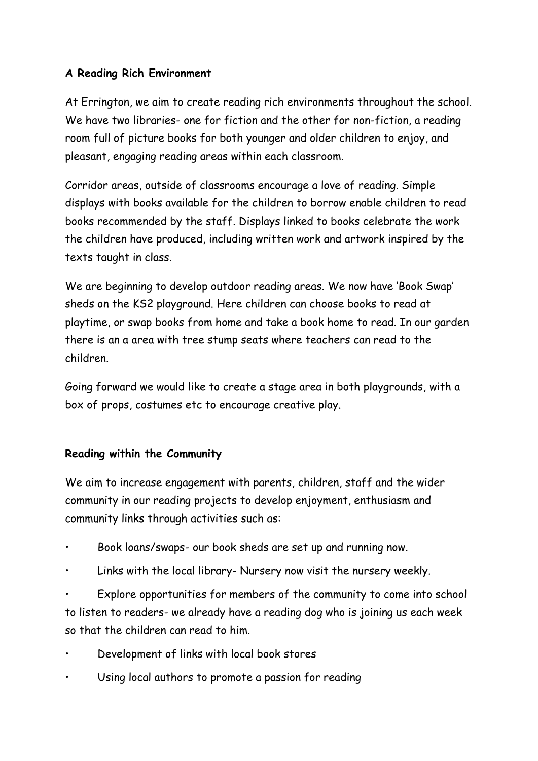# **A Reading Rich Environment**

At Errington, we aim to create reading rich environments throughout the school. We have two libraries- one for fiction and the other for non-fiction, a reading room full of picture books for both younger and older children to enjoy, and pleasant, engaging reading areas within each classroom.

Corridor areas, outside of classrooms encourage a love of reading. Simple displays with books available for the children to borrow enable children to read books recommended by the staff. Displays linked to books celebrate the work the children have produced, including written work and artwork inspired by the texts taught in class.

We are beginning to develop outdoor reading areas. We now have 'Book Swap' sheds on the KS2 playground. Here children can choose books to read at playtime, or swap books from home and take a book home to read. In our garden there is an a area with tree stump seats where teachers can read to the children.

Going forward we would like to create a stage area in both playgrounds, with a box of props, costumes etc to encourage creative play.

# **Reading within the Community**

We aim to increase engagement with parents, children, staff and the wider community in our reading projects to develop enjoyment, enthusiasm and community links through activities such as:

- Book loans/swaps- our book sheds are set up and running now.
- Links with the local library- Nursery now visit the nursery weekly.
- Explore opportunities for members of the community to come into school to listen to readers- we already have a reading dog who is joining us each week so that the children can read to him.
- Development of links with local book stores
- Using local authors to promote a passion for reading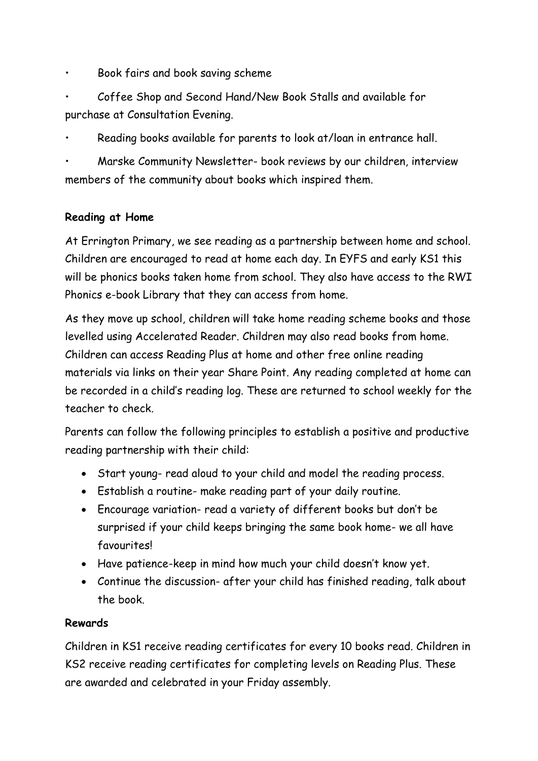- Book fairs and book saving scheme
- Coffee Shop and Second Hand/New Book Stalls and available for purchase at Consultation Evening.
- Reading books available for parents to look at/loan in entrance hall.
- Marske Community Newsletter- book reviews by our children, interview members of the community about books which inspired them.

# **Reading at Home**

At Errington Primary, we see reading as a partnership between home and school. Children are encouraged to read at home each day. In EYFS and early KS1 this will be phonics books taken home from school. They also have access to the RWI Phonics e-book Library that they can access from home.

As they move up school, children will take home reading scheme books and those levelled using Accelerated Reader. Children may also read books from home. Children can access Reading Plus at home and other free online reading materials via links on their year Share Point. Any reading completed at home can be recorded in a child's reading log. These are returned to school weekly for the teacher to check.

Parents can follow the following principles to establish a positive and productive reading partnership with their child:

- Start young- read aloud to your child and model the reading process.
- Establish a routine- make reading part of your daily routine.
- Encourage variation- read a variety of different books but don't be surprised if your child keeps bringing the same book home- we all have favourites!
- Have patience-keep in mind how much your child doesn't know yet.
- Continue the discussion- after your child has finished reading, talk about the book.

# **Rewards**

Children in KS1 receive reading certificates for every 10 books read. Children in KS2 receive reading certificates for completing levels on Reading Plus. These are awarded and celebrated in your Friday assembly.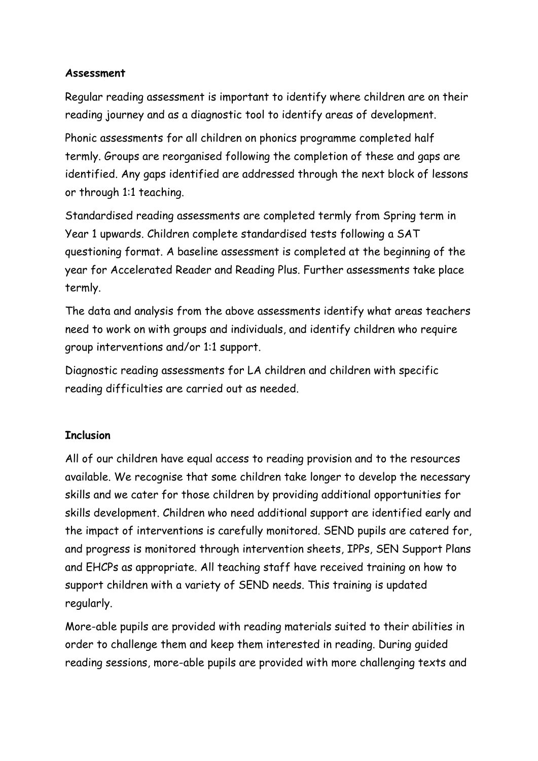#### **Assessment**

Regular reading assessment is important to identify where children are on their reading journey and as a diagnostic tool to identify areas of development.

Phonic assessments for all children on phonics programme completed half termly. Groups are reorganised following the completion of these and gaps are identified. Any gaps identified are addressed through the next block of lessons or through 1:1 teaching.

Standardised reading assessments are completed termly from Spring term in Year 1 upwards. Children complete standardised tests following a SAT questioning format. A baseline assessment is completed at the beginning of the year for Accelerated Reader and Reading Plus. Further assessments take place termly.

The data and analysis from the above assessments identify what areas teachers need to work on with groups and individuals, and identify children who require group interventions and/or 1:1 support.

Diagnostic reading assessments for LA children and children with specific reading difficulties are carried out as needed.

# **Inclusion**

All of our children have equal access to reading provision and to the resources available. We recognise that some children take longer to develop the necessary skills and we cater for those children by providing additional opportunities for skills development. Children who need additional support are identified early and the impact of interventions is carefully monitored. SEND pupils are catered for, and progress is monitored through intervention sheets, IPPs, SEN Support Plans and EHCPs as appropriate. All teaching staff have received training on how to support children with a variety of SEND needs. This training is updated regularly.

More-able pupils are provided with reading materials suited to their abilities in order to challenge them and keep them interested in reading. During guided reading sessions, more-able pupils are provided with more challenging texts and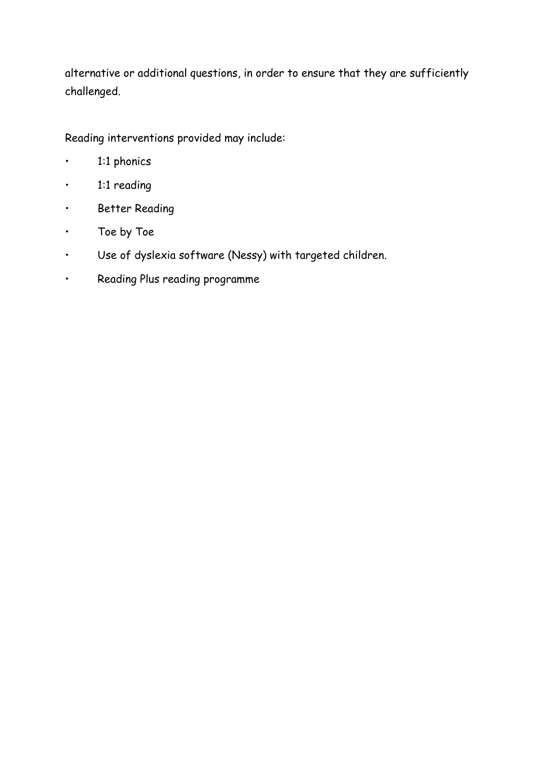alternative or additional questions, in order to ensure that they are sufficiently challenged.

Reading interventions provided may include:

- 1:1 phonics
- 1:1 reading
- Better Reading
- Toe by Toe
- Use of dyslexia software (Nessy) with targeted children.
- Reading Plus reading programme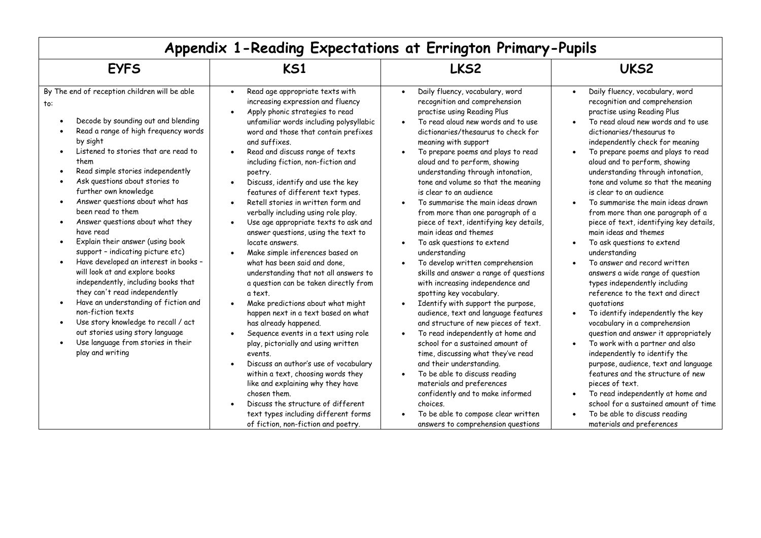| Appendix 1-Reading Expectations at Errington Primary-Pupils                                                                                                                                                                                                                                                                                                                                                                                                                                                                                                                                                                                                                                                                                                                                                                                                      |                                                                                                                                                                                                                                                                                                                                                                                                                                                                                                                                                                                                                                                                                                                                                                                                                                                                                                                                                                                                                                                                                                                                                                                               |                                                                                                                                                                                                                                                                                                                                                                                                                                                                                                                                                                                                                                                                                                                                                                                                                                                                                                                                                                                                                                                                                                                                                                                           |                                                                                                                                                                                                                                                                                                                                                                                                                                                                                                                                                                                                                                                                                                                                                                                                                                                                                                                                                                                                                                                                                                                                                                                                                                                                                            |  |  |
|------------------------------------------------------------------------------------------------------------------------------------------------------------------------------------------------------------------------------------------------------------------------------------------------------------------------------------------------------------------------------------------------------------------------------------------------------------------------------------------------------------------------------------------------------------------------------------------------------------------------------------------------------------------------------------------------------------------------------------------------------------------------------------------------------------------------------------------------------------------|-----------------------------------------------------------------------------------------------------------------------------------------------------------------------------------------------------------------------------------------------------------------------------------------------------------------------------------------------------------------------------------------------------------------------------------------------------------------------------------------------------------------------------------------------------------------------------------------------------------------------------------------------------------------------------------------------------------------------------------------------------------------------------------------------------------------------------------------------------------------------------------------------------------------------------------------------------------------------------------------------------------------------------------------------------------------------------------------------------------------------------------------------------------------------------------------------|-------------------------------------------------------------------------------------------------------------------------------------------------------------------------------------------------------------------------------------------------------------------------------------------------------------------------------------------------------------------------------------------------------------------------------------------------------------------------------------------------------------------------------------------------------------------------------------------------------------------------------------------------------------------------------------------------------------------------------------------------------------------------------------------------------------------------------------------------------------------------------------------------------------------------------------------------------------------------------------------------------------------------------------------------------------------------------------------------------------------------------------------------------------------------------------------|--------------------------------------------------------------------------------------------------------------------------------------------------------------------------------------------------------------------------------------------------------------------------------------------------------------------------------------------------------------------------------------------------------------------------------------------------------------------------------------------------------------------------------------------------------------------------------------------------------------------------------------------------------------------------------------------------------------------------------------------------------------------------------------------------------------------------------------------------------------------------------------------------------------------------------------------------------------------------------------------------------------------------------------------------------------------------------------------------------------------------------------------------------------------------------------------------------------------------------------------------------------------------------------------|--|--|
| <b>EYFS</b>                                                                                                                                                                                                                                                                                                                                                                                                                                                                                                                                                                                                                                                                                                                                                                                                                                                      | <b>KS1</b>                                                                                                                                                                                                                                                                                                                                                                                                                                                                                                                                                                                                                                                                                                                                                                                                                                                                                                                                                                                                                                                                                                                                                                                    | LKS2                                                                                                                                                                                                                                                                                                                                                                                                                                                                                                                                                                                                                                                                                                                                                                                                                                                                                                                                                                                                                                                                                                                                                                                      | UKS <sub>2</sub>                                                                                                                                                                                                                                                                                                                                                                                                                                                                                                                                                                                                                                                                                                                                                                                                                                                                                                                                                                                                                                                                                                                                                                                                                                                                           |  |  |
| By The end of reception children will be able<br>to:<br>Decode by sounding out and blending<br>Read a range of high frequency words<br>by sight<br>Listened to stories that are read to<br>them<br>Read simple stories independently<br>Ask questions about stories to<br>further own knowledge<br>Answer questions about what has<br>$\bullet$<br>been read to them<br>Answer questions about what they<br>$\bullet$<br>have read<br>Explain their answer (using book<br>support - indicating picture etc)<br>Have developed an interest in books -<br>will look at and explore books<br>independently, including books that<br>they can't read independently<br>Have an understanding of fiction and<br>non-fiction texts<br>Use story knowledge to recall / act<br>out stories using story language<br>Use language from stories in their<br>play and writing | Read age appropriate texts with<br>$\bullet$<br>increasing expression and fluency<br>Apply phonic strategies to read<br>unfamiliar words including polysyllabic<br>word and those that contain prefixes<br>and suffixes.<br>Read and discuss range of texts<br>including fiction, non-fiction and<br>poetry.<br>Discuss, identify and use the key<br>features of different text types.<br>Retell stories in written form and<br>verbally including using role play.<br>Use age appropriate texts to ask and<br>answer questions, using the text to<br>locate answers.<br>Make simple inferences based on<br>what has been said and done,<br>understanding that not all answers to<br>a question can be taken directly from<br>a text.<br>Make predictions about what might<br>happen next in a text based on what<br>has already happened.<br>Sequence events in a text using role<br>play, pictorially and using written<br>events.<br>Discuss an author's use of vocabulary<br>within a text, choosing words they<br>like and explaining why they have<br>chosen them.<br>Discuss the structure of different<br>text types including different forms<br>of fiction, non-fiction and poetry. | Daily fluency, vocabulary, word<br>recognition and comprehension<br>practise using Reading Plus<br>To read aloud new words and to use<br>dictionaries/thesaurus to check for<br>meaning with support<br>To prepare poems and plays to read<br>aloud and to perform, showing<br>understanding through intonation,<br>tone and volume so that the meaning<br>is clear to an audience<br>To summarise the main ideas drawn<br>from more than one paragraph of a<br>piece of text, identifying key details,<br>main ideas and themes<br>To ask questions to extend<br>understanding<br>To develop written comprehension<br>skills and answer a range of questions<br>with increasing independence and<br>spotting key vocabulary.<br>Identify with support the purpose,<br>audience, text and language features<br>and structure of new pieces of text.<br>To read independently at home and<br>school for a sustained amount of<br>time, discussing what they've read<br>and their understanding.<br>To be able to discuss reading<br>materials and preferences<br>confidently and to make informed<br>choices.<br>To be able to compose clear written<br>answers to comprehension questions | Daily fluency, vocabulary, word<br>$\bullet$<br>recognition and comprehension<br>practise using Reading Plus<br>To read aloud new words and to use<br>dictionaries/thesaurus to<br>independently check for meaning<br>To prepare poems and plays to read<br>$\bullet$<br>aloud and to perform, showing<br>understanding through intonation,<br>tone and volume so that the meaning<br>is clear to an audience<br>To summarise the main ideas drawn<br>$\bullet$<br>from more than one paragraph of a<br>piece of text, identifying key details,<br>main ideas and themes<br>To ask questions to extend<br>$\bullet$<br>understanding<br>To answer and record written<br>$\bullet$<br>answers a wide range of question<br>types independently including<br>reference to the text and direct<br>guotations<br>To identify independently the key<br>$\bullet$<br>vocabulary in a comprehension<br>question and answer it appropriately<br>To work with a partner and also<br>$\bullet$<br>independently to identify the<br>purpose, audience, text and language<br>features and the structure of new<br>pieces of text.<br>To read independently at home and<br>$\bullet$<br>school for a sustained amount of time<br>To be able to discuss reading<br>$\bullet$<br>materials and preferences |  |  |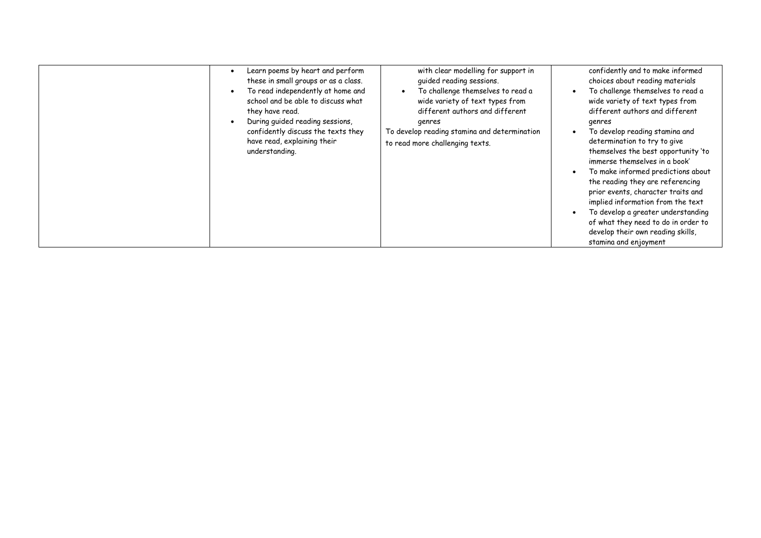| Learn poems by heart and perform<br>these in small groups or as a class.<br>To read independently at home and<br>school and be able to discuss what<br>they have read.<br>During guided reading sessions,<br>confidently discuss the texts they<br>have read, explaining their<br>understanding. | with clear modelling for support in<br>guided reading sessions.<br>To challenge themselves to read a<br>wide variety of text types from<br>different authors and different<br>genres<br>To develop reading stamina and determination<br>to read more challenging texts. | confidently and to make informed<br>choices about reading materials<br>To challenge themselves to read a<br>wide variety of text types from<br>different authors and different<br>genres<br>To develop reading stamina and<br>determination to try to give<br>themselves the best opportunity 'to<br>immerse themselves in a book'<br>To make informed predictions about<br>the reading they are referencing<br>prior events, character traits and<br>implied information from the text<br>To develop a greater understanding<br>of what they need to do in order to<br>develop their own reading skills,<br>stamina and enjoyment |
|--------------------------------------------------------------------------------------------------------------------------------------------------------------------------------------------------------------------------------------------------------------------------------------------------|-------------------------------------------------------------------------------------------------------------------------------------------------------------------------------------------------------------------------------------------------------------------------|------------------------------------------------------------------------------------------------------------------------------------------------------------------------------------------------------------------------------------------------------------------------------------------------------------------------------------------------------------------------------------------------------------------------------------------------------------------------------------------------------------------------------------------------------------------------------------------------------------------------------------|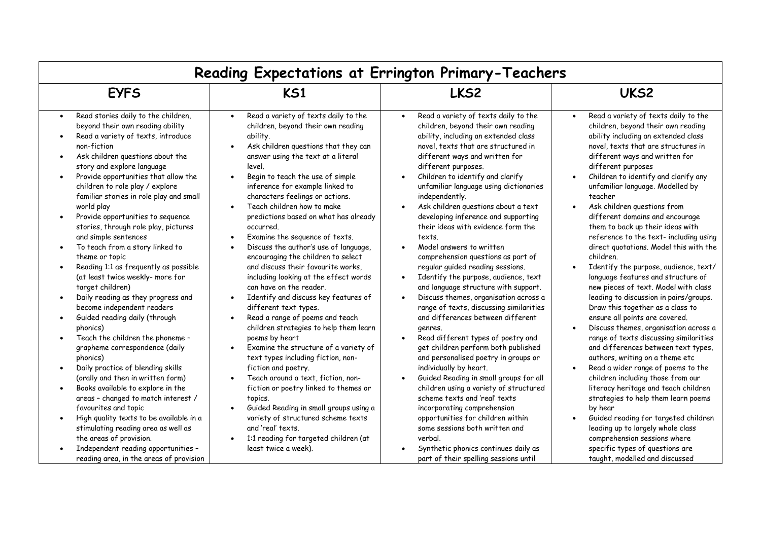| Reading Expectations at Errington Primary-Teachers                                                                                                                                                                                                                                                                                                                                                                                                                                                                                                                                                                                                                                                                                                                                                                                                                                                                                                                                                                                                                                                                                                                                     |                                                                                                                                                                                                                                                                                                                                                                                                                                                                                                                                                                                                                                                                                                                                                                                                                                                                                                                                                                                                                                                                                                                                               |                                                                                                                                                                                                                                                                                                                                                                                                                                                                                                                                                                                                                                                                                                                                                                                                                                                                                                                                                                                                                                                                                                                                                                                                                      |                                                                                                                                                                                                                                                                                                                                                                                                                                                                                                                                                                                                                                                                                                                                                                                                                                                                                                                                                                                                                                                                                                                                                                                                                                         |  |  |
|----------------------------------------------------------------------------------------------------------------------------------------------------------------------------------------------------------------------------------------------------------------------------------------------------------------------------------------------------------------------------------------------------------------------------------------------------------------------------------------------------------------------------------------------------------------------------------------------------------------------------------------------------------------------------------------------------------------------------------------------------------------------------------------------------------------------------------------------------------------------------------------------------------------------------------------------------------------------------------------------------------------------------------------------------------------------------------------------------------------------------------------------------------------------------------------|-----------------------------------------------------------------------------------------------------------------------------------------------------------------------------------------------------------------------------------------------------------------------------------------------------------------------------------------------------------------------------------------------------------------------------------------------------------------------------------------------------------------------------------------------------------------------------------------------------------------------------------------------------------------------------------------------------------------------------------------------------------------------------------------------------------------------------------------------------------------------------------------------------------------------------------------------------------------------------------------------------------------------------------------------------------------------------------------------------------------------------------------------|----------------------------------------------------------------------------------------------------------------------------------------------------------------------------------------------------------------------------------------------------------------------------------------------------------------------------------------------------------------------------------------------------------------------------------------------------------------------------------------------------------------------------------------------------------------------------------------------------------------------------------------------------------------------------------------------------------------------------------------------------------------------------------------------------------------------------------------------------------------------------------------------------------------------------------------------------------------------------------------------------------------------------------------------------------------------------------------------------------------------------------------------------------------------------------------------------------------------|-----------------------------------------------------------------------------------------------------------------------------------------------------------------------------------------------------------------------------------------------------------------------------------------------------------------------------------------------------------------------------------------------------------------------------------------------------------------------------------------------------------------------------------------------------------------------------------------------------------------------------------------------------------------------------------------------------------------------------------------------------------------------------------------------------------------------------------------------------------------------------------------------------------------------------------------------------------------------------------------------------------------------------------------------------------------------------------------------------------------------------------------------------------------------------------------------------------------------------------------|--|--|
| <b>EYFS</b>                                                                                                                                                                                                                                                                                                                                                                                                                                                                                                                                                                                                                                                                                                                                                                                                                                                                                                                                                                                                                                                                                                                                                                            | <b>KS1</b>                                                                                                                                                                                                                                                                                                                                                                                                                                                                                                                                                                                                                                                                                                                                                                                                                                                                                                                                                                                                                                                                                                                                    | LKS <sub>2</sub>                                                                                                                                                                                                                                                                                                                                                                                                                                                                                                                                                                                                                                                                                                                                                                                                                                                                                                                                                                                                                                                                                                                                                                                                     | UKS2                                                                                                                                                                                                                                                                                                                                                                                                                                                                                                                                                                                                                                                                                                                                                                                                                                                                                                                                                                                                                                                                                                                                                                                                                                    |  |  |
| Read stories daily to the children,<br>$\bullet$<br>beyond their own reading ability<br>Read a variety of texts, introduce<br>non-fiction<br>Ask children questions about the<br>$\bullet$<br>story and explore language<br>Provide opportunities that allow the<br>children to role play / explore<br>familiar stories in role play and small<br>world play<br>Provide opportunities to sequence<br>stories, through role play, pictures<br>and simple sentences<br>To teach from a story linked to<br>theme or topic<br>Reading 1:1 as frequently as possible<br>(at least twice weekly- more for<br>target children)<br>Daily reading as they progress and<br>$\bullet$<br>become independent readers<br>Guided reading daily (through<br>phonics)<br>Teach the children the phoneme -<br>grapheme correspondence (daily<br>phonics)<br>Daily practice of blending skills<br>$\bullet$<br>(orally and then in written form)<br>Books available to explore in the<br>areas - changed to match interest /<br>favourites and topic<br>High quality texts to be available in a<br>stimulating reading area as well as<br>the areas of provision.<br>Independent reading opportunities - | Read a variety of texts daily to the<br>children, beyond their own reading<br>ability.<br>Ask children questions that they can<br>answer using the text at a literal<br>level.<br>Begin to teach the use of simple<br>inference for example linked to<br>characters feelings or actions.<br>Teach children how to make<br>predictions based on what has already<br>occurred.<br>Examine the sequence of texts.<br>Discuss the author's use of language,<br>encouraging the children to select<br>and discuss their favourite works,<br>including looking at the effect words<br>can have on the reader.<br>Identify and discuss key features of<br>different text types.<br>Read a range of poems and teach<br>children strategies to help them learn<br>poems by heart<br>Examine the structure of a variety of<br>text types including fiction, non-<br>fiction and poetry.<br>Teach around a text, fiction, non-<br>fiction or poetry linked to themes or<br>topics.<br>Guided Reading in small groups using a<br>variety of structured scheme texts<br>and 'real' texts.<br>1:1 reading for targeted children (at<br>least twice a week). | Read a variety of texts daily to the<br>children, beyond their own reading<br>ability, including an extended class<br>novel, texts that are structured in<br>different ways and written for<br>different purposes.<br>Children to identify and clarify<br>unfamiliar language using dictionaries<br>independently.<br>Ask children questions about a text<br>developing inference and supporting<br>their ideas with evidence form the<br>texts.<br>Model answers to written<br>comprehension questions as part of<br>regular guided reading sessions.<br>Identify the purpose, audience, text<br>and language structure with support.<br>Discuss themes, organisation across a<br>$\bullet$<br>range of texts, discussing similarities<br>and differences between different<br>genres.<br>Read different types of poetry and<br>get children perform both published<br>and personalised poetry in groups or<br>individually by heart.<br>Guided Reading in small groups for all<br>children using a variety of structured<br>scheme texts and 'real' texts<br>incorporating comprehension<br>opportunities for children within<br>some sessions both written and<br>verbal.<br>Synthetic phonics continues daily as | Read a variety of texts daily to the<br>children, beyond their own reading<br>ability including an extended class<br>novel, texts that are structures in<br>different ways and written for<br>different purposes<br>Children to identify and clarify any<br>unfamiliar language. Modelled by<br>teacher<br>Ask children questions from<br>different domains and encourage<br>them to back up their ideas with<br>reference to the text- including using<br>direct quotations. Model this with the<br>children.<br>Identify the purpose, audience, text/<br>language features and structure of<br>new pieces of text. Model with class<br>leading to discussion in pairs/groups.<br>Draw this together as a class to<br>ensure all points are covered.<br>Discuss themes, organisation across a<br>range of texts discussing similarities<br>and differences between text types,<br>authors, writing on a theme etc<br>Read a wider range of poems to the<br>children including those from our<br>literacy heritage and teach children<br>strategies to help them learn poems<br>by hear<br>Guided reading for targeted children<br>leading up to largely whole class<br>comprehension sessions where<br>specific types of questions are |  |  |
| reading area, in the areas of provision                                                                                                                                                                                                                                                                                                                                                                                                                                                                                                                                                                                                                                                                                                                                                                                                                                                                                                                                                                                                                                                                                                                                                |                                                                                                                                                                                                                                                                                                                                                                                                                                                                                                                                                                                                                                                                                                                                                                                                                                                                                                                                                                                                                                                                                                                                               | part of their spelling sessions until                                                                                                                                                                                                                                                                                                                                                                                                                                                                                                                                                                                                                                                                                                                                                                                                                                                                                                                                                                                                                                                                                                                                                                                | taught, modelled and discussed                                                                                                                                                                                                                                                                                                                                                                                                                                                                                                                                                                                                                                                                                                                                                                                                                                                                                                                                                                                                                                                                                                                                                                                                          |  |  |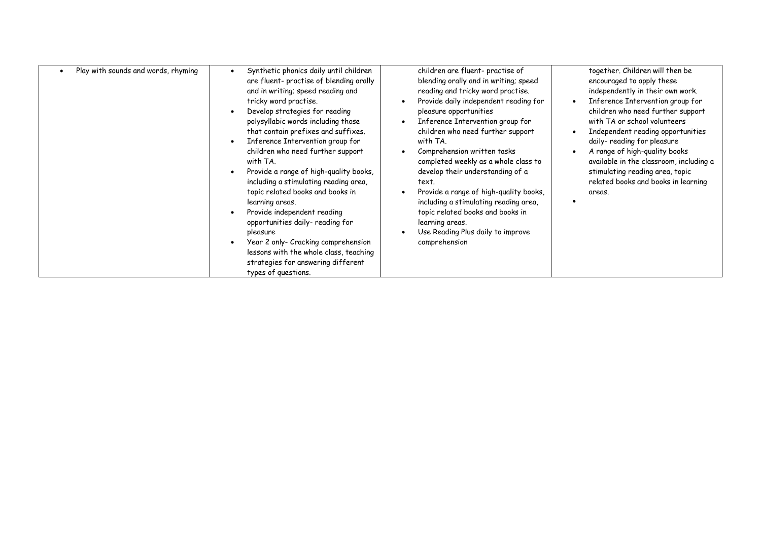|  | Play with sounds and words, rhyming |  | Synthetic phonics daily until children<br>are fluent- practise of blending orally<br>and in writing; speed reading and<br>tricky word practise.<br>Develop strategies for reading<br>polysyllabic words including those<br>that contain prefixes and suffixes.<br>Inference Intervention group for<br>children who need further support<br>with TA.<br>Provide a range of high-quality books,<br>including a stimulating reading area,<br>topic related books and books in<br>learning areas.<br>Provide independent reading<br>opportunities daily- reading for<br>pleasure<br>Year 2 only- Cracking comprehension<br>lessons with the whole class, teaching<br>strategies for answering different<br>types of questions. |  | children are fluent- practise of<br>blending orally and in writing; speed<br>reading and tricky word practise.<br>Provide daily independent reading for<br>pleasure opportunities<br>Inference Intervention group for<br>children who need further support<br>with TA.<br>Comprehension written tasks<br>completed weekly as a whole class to<br>develop their understanding of a<br>text.<br>Provide a range of high-quality books,<br>including a stimulating reading area,<br>topic related books and books in<br>learning areas.<br>Use Reading Plus daily to improve<br>comprehension | $\bullet$ | together. Children will then be<br>encouraged to apply these<br>independently in their own work.<br>Inference Intervention group for<br>children who need further support<br>with TA or school volunteers<br>Independent reading opportunities<br>daily- reading for pleasure<br>A range of high-quality books<br>available in the classroom, including a<br>stimulating reading area, topic<br>related books and books in learning<br>areas. |
|--|-------------------------------------|--|----------------------------------------------------------------------------------------------------------------------------------------------------------------------------------------------------------------------------------------------------------------------------------------------------------------------------------------------------------------------------------------------------------------------------------------------------------------------------------------------------------------------------------------------------------------------------------------------------------------------------------------------------------------------------------------------------------------------------|--|--------------------------------------------------------------------------------------------------------------------------------------------------------------------------------------------------------------------------------------------------------------------------------------------------------------------------------------------------------------------------------------------------------------------------------------------------------------------------------------------------------------------------------------------------------------------------------------------|-----------|-----------------------------------------------------------------------------------------------------------------------------------------------------------------------------------------------------------------------------------------------------------------------------------------------------------------------------------------------------------------------------------------------------------------------------------------------|
|--|-------------------------------------|--|----------------------------------------------------------------------------------------------------------------------------------------------------------------------------------------------------------------------------------------------------------------------------------------------------------------------------------------------------------------------------------------------------------------------------------------------------------------------------------------------------------------------------------------------------------------------------------------------------------------------------------------------------------------------------------------------------------------------------|--|--------------------------------------------------------------------------------------------------------------------------------------------------------------------------------------------------------------------------------------------------------------------------------------------------------------------------------------------------------------------------------------------------------------------------------------------------------------------------------------------------------------------------------------------------------------------------------------------|-----------|-----------------------------------------------------------------------------------------------------------------------------------------------------------------------------------------------------------------------------------------------------------------------------------------------------------------------------------------------------------------------------------------------------------------------------------------------|